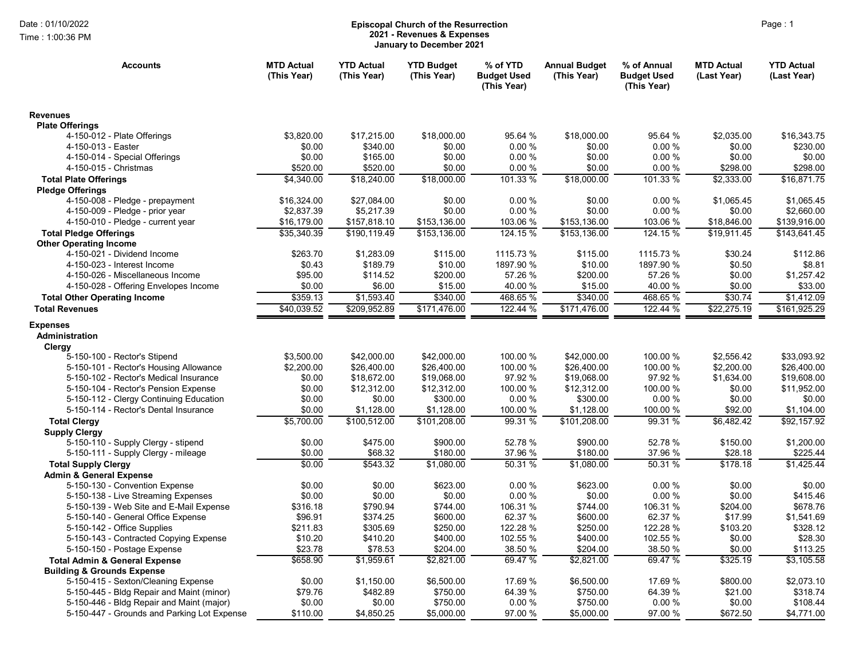Time : 1:00:36 PM

## Date : 01/10/2022 **Episcopal Church of the Resurrection** Page : 1 2021 - Revenues & Expenses January to December 2021

| <b>Accounts</b>                                                | <b>MTD Actual</b><br>(This Year) | <b>YTD Actual</b><br>(This Year) | <b>YTD Budget</b><br>(This Year) | % of YTD<br><b>Budget Used</b><br>(This Year) | <b>Annual Budget</b><br>(This Year) | % of Annual<br><b>Budget Used</b><br>(This Year) | <b>MTD Actual</b><br>(Last Year) | <b>YTD Actual</b><br>(Last Year) |
|----------------------------------------------------------------|----------------------------------|----------------------------------|----------------------------------|-----------------------------------------------|-------------------------------------|--------------------------------------------------|----------------------------------|----------------------------------|
| <b>Revenues</b>                                                |                                  |                                  |                                  |                                               |                                     |                                                  |                                  |                                  |
| <b>Plate Offerings</b>                                         |                                  |                                  |                                  |                                               |                                     |                                                  |                                  |                                  |
| 4-150-012 - Plate Offerings                                    | \$3,820.00                       | \$17,215.00                      | \$18,000.00                      | 95.64 %                                       | \$18,000.00                         | 95.64 %                                          | \$2,035.00                       | \$16,343.75                      |
| 4-150-013 - Easter                                             | \$0.00                           | \$340.00                         | \$0.00                           | 0.00%                                         | \$0.00                              | 0.00%                                            | \$0.00                           | \$230.00                         |
| 4-150-014 - Special Offerings                                  | \$0.00                           | \$165.00                         | \$0.00                           | 0.00%                                         | \$0.00                              | 0.00%                                            | \$0.00                           | \$0.00                           |
| 4-150-015 - Christmas                                          | \$520.00                         | \$520.00                         | \$0.00                           | 0.00%                                         | \$0.00                              | 0.00%                                            | \$298.00                         | \$298.00                         |
| <b>Total Plate Offerings</b>                                   | \$4,340.00                       | \$18,240.00                      | \$18,000.00                      | 101.33 %                                      | \$18,000.00                         | 101.33 %                                         | \$2,333.00                       | \$16,871.75                      |
| <b>Pledge Offerings</b>                                        |                                  |                                  | \$0.00                           | 0.00%                                         | \$0.00                              | 0.00%                                            | \$1,065.45                       | \$1,065.45                       |
| 4-150-008 - Pledge - prepayment                                | \$16,324.00<br>\$2,837.39        | \$27,084.00<br>\$5,217.39        | \$0.00                           | 0.00%                                         | \$0.00                              | 0.00%                                            | \$0.00                           | \$2,660.00                       |
| 4-150-009 - Pledge - prior year                                | \$16,179.00                      | \$157,818.10                     | \$153,136.00                     | 103.06 %                                      | \$153,136.00                        | 103.06 %                                         | \$18,846.00                      | \$139,916.00                     |
| 4-150-010 - Pledge - current year                              | \$35,340.39                      | \$190,119.49                     | \$153,136.00                     | 124.15 %                                      | \$153,136.00                        | 124.15 %                                         | \$19,911.45                      | \$143,641.45                     |
| <b>Total Pledge Offerings</b><br><b>Other Operating Income</b> |                                  |                                  |                                  |                                               |                                     |                                                  |                                  |                                  |
| 4-150-021 - Dividend Income                                    | \$263.70                         | \$1,283.09                       | \$115.00                         | 1115.73 %                                     | \$115.00                            | 1115.73 %                                        | \$30.24                          | \$112.86                         |
| 4-150-023 - Interest Income                                    | \$0.43                           | \$189.79                         | \$10.00                          | 1897.90 %                                     | \$10.00                             | 1897.90 %                                        | \$0.50                           | \$8.81                           |
| 4-150-026 - Miscellaneous Income                               | \$95.00                          | \$114.52                         | \$200.00                         | 57.26 %                                       | \$200.00                            | 57.26 %                                          | \$0.00                           | \$1,257.42                       |
| 4-150-028 - Offering Envelopes Income                          | \$0.00                           | \$6.00                           | \$15.00                          | 40.00 %                                       | \$15.00                             | 40.00 %                                          | \$0.00                           | \$33.00                          |
| <b>Total Other Operating Income</b>                            | \$359.13                         | \$1,593.40                       | \$340.00                         | 468.65 %                                      | \$340.00                            | 468.65 %                                         | \$30.74                          | \$1,412.09                       |
| <b>Total Revenues</b>                                          | \$40,039.52                      | \$209,952.89                     | \$171,476.00                     | 122.44 %                                      | \$171,476.00                        | 122.44 %                                         | \$22,275.19                      | \$161,925.29                     |
|                                                                |                                  |                                  |                                  |                                               |                                     |                                                  |                                  |                                  |
| <b>Expenses</b><br>Administration<br>Clergy                    |                                  |                                  |                                  |                                               |                                     |                                                  |                                  |                                  |
| 5-150-100 - Rector's Stipend                                   | \$3,500.00                       | \$42,000.00                      | \$42,000.00                      | 100.00 %                                      | \$42,000.00                         | 100.00 %                                         | \$2,556.42                       | \$33.093.92                      |
| 5-150-101 - Rector's Housing Allowance                         | \$2,200.00                       | \$26,400.00                      | \$26,400.00                      | 100.00 %                                      | \$26,400.00                         | 100.00 %                                         | \$2,200.00                       | \$26,400.00                      |
| 5-150-102 - Rector's Medical Insurance                         | \$0.00                           | \$18,672.00                      | \$19,068.00                      | 97.92 %                                       | \$19,068.00                         | 97.92 %                                          | \$1,634.00                       | \$19,608.00                      |
| 5-150-104 - Rector's Pension Expense                           | \$0.00                           | \$12,312.00                      | \$12,312.00                      | 100.00 %                                      | \$12,312.00                         | 100.00 %                                         | \$0.00                           | \$11,952.00                      |
| 5-150-112 - Clergy Continuing Education                        | \$0.00                           | \$0.00                           | \$300.00                         | 0.00 %                                        | \$300.00                            | 0.00%                                            | \$0.00                           | \$0.00                           |
| 5-150-114 - Rector's Dental Insurance                          | \$0.00                           | \$1,128.00                       | \$1,128.00                       | 100.00 %                                      | \$1,128.00                          | 100.00 %                                         | \$92.00                          | \$1,104.00                       |
| <b>Total Clergy</b>                                            | \$5,700.00                       | \$100,512.00                     | \$101,208.00                     | 99.31 %                                       | \$101,208.00                        | 99.31 %                                          | \$6,482.42                       | \$92,157.92                      |
| <b>Supply Clergy</b>                                           |                                  |                                  |                                  |                                               |                                     |                                                  |                                  |                                  |
| 5-150-110 - Supply Clergy - stipend                            | \$0.00                           | \$475.00                         | \$900.00                         | 52.78 %                                       | \$900.00                            | 52.78 %                                          | \$150.00                         | \$1,200.00                       |
| 5-150-111 - Supply Clergy - mileage                            | \$0.00                           | \$68.32                          | \$180.00                         | 37.96 %                                       | \$180.00                            | 37.96 %                                          | \$28.18                          | \$225.44                         |
| <b>Total Supply Clergy</b>                                     | \$0.00                           | \$543.32                         | \$1,080.00                       | 50.31%                                        | \$1,080.00                          | 50.31%                                           | \$178.18                         | \$1,425.44                       |
| <b>Admin &amp; General Expense</b>                             |                                  |                                  |                                  |                                               |                                     |                                                  |                                  |                                  |
| 5-150-130 - Convention Expense                                 | \$0.00                           | \$0.00                           | \$623.00                         | 0.00%                                         | \$623.00                            | 0.00%                                            | \$0.00                           | \$0.00                           |
| 5-150-138 - Live Streaming Expenses                            | \$0.00                           | \$0.00                           | \$0.00                           | 0.00 %                                        | \$0.00                              | 0.00%                                            | \$0.00                           | \$415.46                         |
| 5-150-139 - Web Site and E-Mail Expense                        | \$316.18                         | \$790.94                         | \$744.00                         | 106.31 %                                      | \$744.00                            | 106.31 %                                         | \$204.00                         | \$678.76                         |
| 5-150-140 - General Office Expense                             | \$96.91                          | \$374.25                         | \$600.00                         | 62.37 %                                       | \$600.00                            | 62.37 %                                          | \$17.99                          | \$1,541.69                       |
| 5-150-142 - Office Supplies                                    | \$211.83                         | \$305.69                         | \$250.00                         | 122.28 %                                      | \$250.00                            | 122.28 %                                         | \$103.20                         | \$328.12                         |
| 5-150-143 - Contracted Copying Expense                         | \$10.20                          | \$410.20                         | \$400.00                         | 102.55 %                                      | \$400.00                            | 102.55 %                                         | \$0.00                           | \$28.30                          |
| 5-150-150 - Postage Expense                                    | \$23.78                          | \$78.53                          | \$204.00                         | 38.50 %                                       | \$204.00                            | 38.50 %                                          | \$0.00                           | \$113.25                         |
| <b>Total Admin &amp; General Expense</b>                       | \$658.90                         | \$1,959.61                       | \$2,821.00                       | 69.47 %                                       | \$2,821.00                          | 69.47 %                                          | \$325.19                         | \$3,105.58                       |
| <b>Building &amp; Grounds Expense</b>                          |                                  |                                  |                                  |                                               |                                     |                                                  |                                  |                                  |
| 5-150-415 - Sexton/Cleaning Expense                            | \$0.00                           | \$1,150.00                       | \$6,500.00                       | 17.69 %                                       | \$6,500.00                          | 17.69 %                                          | \$800.00                         | \$2,073.10                       |
| 5-150-445 - Bldg Repair and Maint (minor)                      | \$79.76                          | \$482.89                         | \$750.00                         | 64.39 %                                       | \$750.00                            | 64.39 %                                          | \$21.00                          | \$318.74                         |
| 5-150-446 - Bldg Repair and Maint (major)                      | \$0.00                           | \$0.00                           | \$750.00                         | 0.00%                                         | \$750.00                            | 0.00%                                            | \$0.00                           | \$108.44                         |
| 5-150-447 - Grounds and Parking Lot Expense                    | \$110.00                         | \$4,850.25                       | \$5,000.00                       | 97.00 %                                       | \$5,000.00                          | 97.00 %                                          | \$672.50                         | \$4,771.00                       |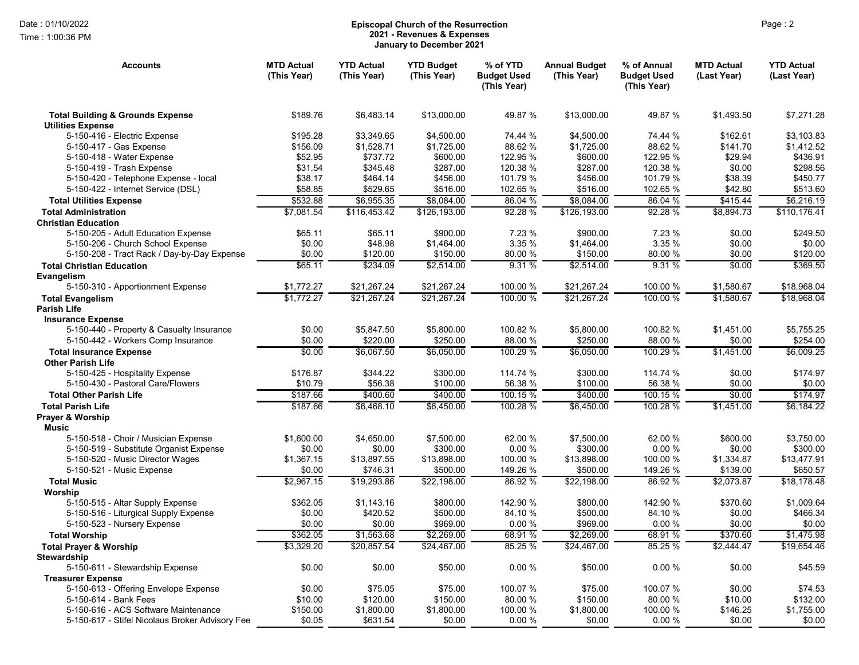Time : 1:00:36 PM

## Date : 01/10/2022 Page : 2 Episcopal Church of the Resurrection 2021 - Revenues & Expenses January to December 2021

| <b>Accounts</b>                                                | <b>MTD Actual</b><br>(This Year) | <b>YTD Actual</b><br>(This Year) | <b>YTD Budget</b><br>(This Year) | % of YTD<br><b>Budget Used</b><br>(This Year) | <b>Annual Budget</b><br>(This Year) | % of Annual<br><b>Budget Used</b><br>(This Year) | <b>MTD Actual</b><br>(Last Year) | <b>YTD Actual</b><br>(Last Year) |
|----------------------------------------------------------------|----------------------------------|----------------------------------|----------------------------------|-----------------------------------------------|-------------------------------------|--------------------------------------------------|----------------------------------|----------------------------------|
| <b>Total Building &amp; Grounds Expense</b>                    | \$189.76                         | \$6,483.14                       | \$13,000.00                      | 49.87 %                                       | \$13,000.00                         | 49.87 %                                          | \$1,493.50                       | \$7,271.28                       |
| <b>Utilities Expense</b><br>5-150-416 - Electric Expense       | \$195.28                         | \$3,349.65                       | \$4,500.00                       | 74.44 %                                       | \$4,500.00                          | 74.44 %                                          | \$162.61                         | \$3,103.83                       |
| 5-150-417 - Gas Expense                                        | \$156.09                         | \$1,528.71                       | \$1,725.00                       | 88.62 %                                       | \$1,725.00                          | 88.62%                                           | \$141.70                         | \$1,412.52                       |
| 5-150-418 - Water Expense                                      | \$52.95                          | \$737.72                         | \$600.00                         | 122.95 %                                      | \$600.00                            | 122.95 %                                         | \$29.94                          | \$436.91                         |
| 5-150-419 - Trash Expense                                      | \$31.54                          | \$345.48                         | \$287.00                         | 120.38 %                                      | \$287.00                            | 120.38 %                                         | \$0.00                           | \$298.56                         |
| 5-150-420 - Telephone Expense - local                          | \$38.17                          | \$464.14                         | \$456.00                         | 101.79 %                                      | \$456.00                            | 101.79 %                                         | \$38.39                          | \$450.77                         |
| 5-150-422 - Internet Service (DSL)                             | \$58.85                          | \$529.65                         | \$516.00                         | 102.65 %                                      | \$516.00                            | 102.65 %                                         | \$42.80                          | \$513.60                         |
| <b>Total Utilities Expense</b>                                 | \$532.88                         | \$6,955.35                       | \$8,084.00                       | 86.04 %                                       | \$8,084.00                          | 86.04 %                                          | \$415.44                         | \$6,216.19                       |
| <b>Total Administration</b>                                    | \$7,081.54                       | \$116,453.42                     | \$126,193.00                     | 92.28%                                        | \$126, 193.00                       | 92.28 %                                          | \$8,894.73                       | \$110,176.41                     |
| <b>Christian Education</b>                                     |                                  |                                  |                                  |                                               |                                     |                                                  |                                  |                                  |
| 5-150-205 - Adult Education Expense                            | \$65.11                          | \$65.11                          | \$900.00                         | 7.23 %                                        | \$900.00                            | 7.23 %                                           | \$0.00                           | \$249.50                         |
| 5-150-206 - Church School Expense                              | \$0.00                           | \$48.98                          | \$1,464.00                       | 3.35 %                                        | \$1,464.00                          | 3.35 %                                           | \$0.00                           | \$0.00                           |
| 5-150-208 - Tract Rack / Day-by-Day Expense                    | \$0.00                           | \$120.00                         | \$150.00                         | 80.00 %                                       | \$150.00                            | 80.00 %                                          | \$0.00                           | \$120.00                         |
| <b>Total Christian Education</b>                               | \$65.11                          | \$234.09                         | \$2,514.00                       | 9.31%                                         | \$2,514.00                          | 9.31%                                            | \$0.00                           | \$369.50                         |
| Evangelism                                                     |                                  |                                  |                                  |                                               |                                     |                                                  |                                  |                                  |
| 5-150-310 - Apportionment Expense                              | \$1,772.27                       | \$21,267.24                      | \$21,267.24                      | 100.00 %                                      | \$21,267.24                         | 100.00 %                                         | \$1,580.67                       | \$18,968.04                      |
| <b>Total Evangelism</b>                                        | \$1,772.27                       | \$21,267.24                      | \$21,267.24                      | 100.00 %                                      | \$21,267.24                         | 100.00 %                                         | \$1,580.67                       | \$18,968.04                      |
| <b>Parish Life</b>                                             |                                  |                                  |                                  |                                               |                                     |                                                  |                                  |                                  |
| <b>Insurance Expense</b>                                       |                                  |                                  |                                  |                                               |                                     |                                                  |                                  |                                  |
| 5-150-440 - Property & Casualty Insurance                      | \$0.00                           | \$5,847.50                       | \$5,800.00                       | 100.82 %                                      | \$5,800.00                          | 100.82 %                                         | \$1,451.00                       | \$5,755.25                       |
| 5-150-442 - Workers Comp Insurance                             | \$0.00                           | \$220.00                         | \$250.00                         | 88.00 %                                       | \$250.00                            | 88.00 %                                          | \$0.00                           | \$254.00                         |
| <b>Total Insurance Expense</b><br><b>Other Parish Life</b>     | \$0.00                           | \$6,067.50                       | \$6,050.00                       | 100.29 %                                      | \$6,050.00                          | 100.29 %                                         | \$1,451.00                       | \$6,009.25                       |
| 5-150-425 - Hospitality Expense                                | \$176.87                         | \$344.22                         | \$300.00                         | 114.74 %                                      | \$300.00                            | 114.74 %                                         | \$0.00                           | \$174.97                         |
| 5-150-430 - Pastoral Care/Flowers                              | \$10.79                          | \$56.38                          | \$100.00                         | 56.38 %                                       | \$100.00                            | 56.38 %                                          | \$0.00                           | \$0.00                           |
| <b>Total Other Parish Life</b>                                 | \$187.66                         | \$400.60                         | \$400.00                         | 100.15 %                                      | \$400.00                            | 100.15 %                                         | \$0.00                           | \$174.97                         |
| <b>Total Parish Life</b>                                       | \$187.66                         | \$6,468.10                       | \$6,450.00                       | 100.28 %                                      | \$6,450.00                          | 100.28 %                                         | \$1,451.00                       | \$6,184.22                       |
| Prayer & Worship<br><b>Music</b>                               |                                  |                                  |                                  |                                               |                                     |                                                  |                                  |                                  |
| 5-150-518 - Choir / Musician Expense                           | \$1,600.00                       | \$4,650.00                       | \$7,500.00                       | 62.00 %                                       | \$7,500.00                          | 62.00 %                                          | \$600.00                         | \$3,750.00                       |
| 5-150-519 - Substitute Organist Expense                        | \$0.00                           | \$0.00                           | \$300.00                         | 0.00%                                         | \$300.00                            | 0.00%                                            | \$0.00                           | \$300.00                         |
| 5-150-520 - Music Director Wages                               | \$1,367.15                       | \$13,897.55                      | \$13,898.00                      | 100.00 %                                      | \$13,898.00                         | 100.00 %                                         | \$1,334.87                       | \$13,477.91                      |
| 5-150-521 - Music Expense                                      | \$0.00                           | \$746.31                         | \$500.00                         | 149.26 %                                      | \$500.00                            | 149.26 %                                         | \$139.00                         | \$650.57                         |
| <b>Total Music</b>                                             | \$2,967.15                       | \$19,293.86                      | \$22,198.00                      | 86.92 %                                       | \$22,198.00                         | 86.92 %                                          | \$2,073.87                       | \$18.178.48                      |
| Worship                                                        |                                  |                                  |                                  |                                               |                                     |                                                  |                                  |                                  |
| 5-150-515 - Altar Supply Expense                               | \$362.05                         | \$1,143.16                       | \$800.00                         | 142.90 %                                      | \$800.00                            | 142.90 %                                         | \$370.60                         | \$1,009.64                       |
| 5-150-516 - Liturgical Supply Expense                          | \$0.00                           | \$420.52                         | \$500.00                         | 84.10 %                                       | \$500.00                            | 84.10%                                           | \$0.00                           | \$466.34                         |
| 5-150-523 - Nursery Expense                                    | \$0.00                           | \$0.00                           | \$969.00                         | 0.00%                                         | \$969.00                            | 0.00%                                            | \$0.00                           | \$0.00                           |
| <b>Total Worship</b>                                           | \$362.05                         | \$1,563.68                       | \$2,269.00                       | 68.91 %                                       | \$2.269.00                          | 68.91 %                                          | \$370.60                         | \$1,475.98                       |
| <b>Total Prayer &amp; Worship</b>                              | \$3,329.20                       | \$20,857.54                      | \$24,467.00                      | 85.25 %                                       | \$24,467.00                         | 85.25 %                                          | \$2,444.47                       | \$19,654.46                      |
| <b>Stewardship</b>                                             |                                  |                                  |                                  |                                               |                                     |                                                  |                                  |                                  |
| 5-150-611 - Stewardship Expense                                | \$0.00                           | \$0.00                           | \$50.00                          | 0.00%                                         | \$50.00                             | 0.00%                                            | \$0.00                           | \$45.59                          |
| <b>Treasurer Expense</b>                                       |                                  |                                  |                                  |                                               |                                     |                                                  |                                  |                                  |
| 5-150-613 - Offering Envelope Expense<br>5-150-614 - Bank Fees | \$0.00                           | \$75.05<br>\$120.00              | \$75.00<br>\$150.00              | 100.07 %<br>80.00 %                           | \$75.00<br>\$150.00                 | 100.07 %<br>80.00 %                              | \$0.00                           | \$74.53                          |
| 5-150-616 - ACS Software Maintenance                           | \$10.00<br>\$150.00              | \$1,800.00                       | \$1,800.00                       | 100.00 %                                      | \$1,800.00                          | 100.00 %                                         | \$10.00<br>\$146.25              | \$132.00<br>\$1,755.00           |
| 5-150-617 - Stifel Nicolaus Broker Advisory Fee                | \$0.05                           | \$631.54                         | \$0.00                           | 0.00%                                         | \$0.00                              | 0.00%                                            | \$0.00                           | \$0.00                           |